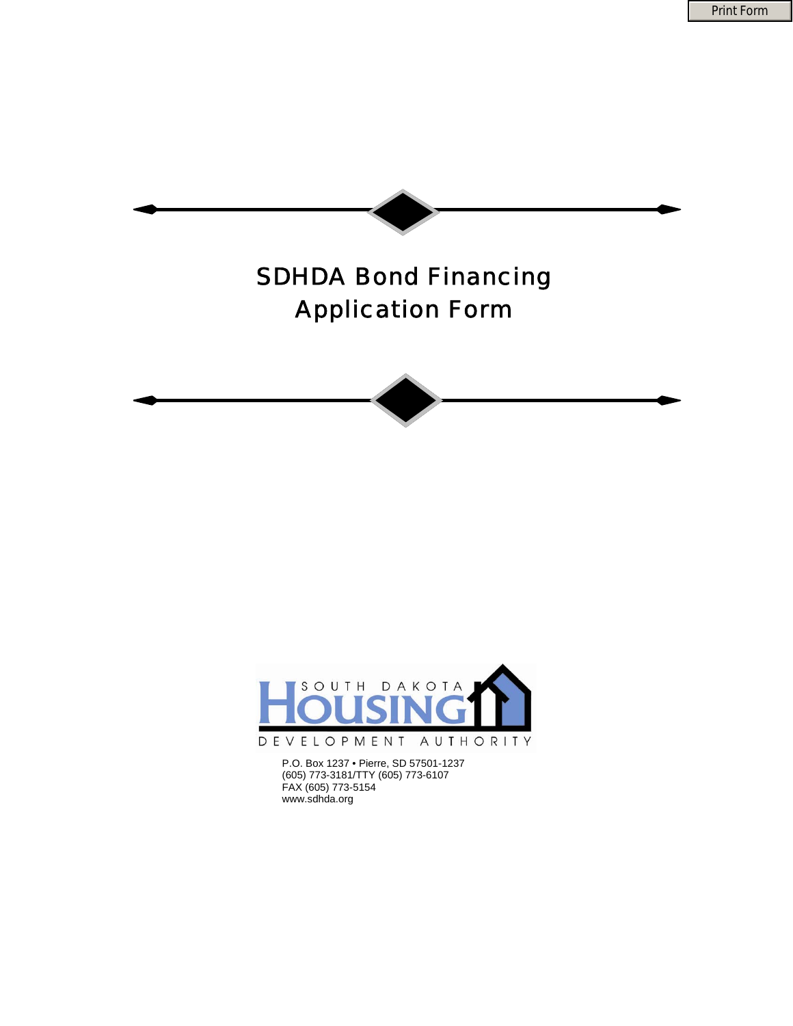Print Form





P.O. Box 1237 • Pierre, SD 57501-1237<br>(SOF) 773 3181/TTV (SOF) 773 6107 (605) 773-3181/TTY (605) 773-6107 FAX (605) 773-5154 www.sdhda.org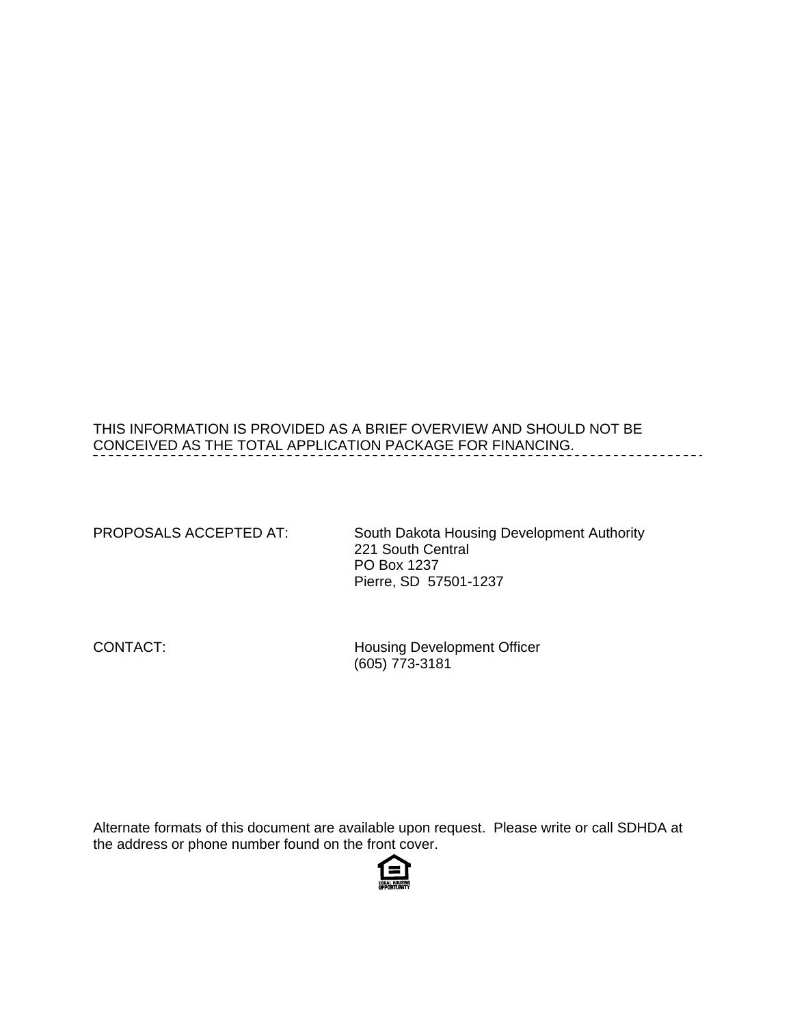# THIS INFORMATION IS PROVIDED AS A BRIEF OVERVIEW AND SHOULD NOT BE CONCEIVED AS THE TOTAL APPLICATION PACKAGE FOR FINANCING.

| PROPOSALS ACCEPTED AT: | South Dakota Housing Development Authority<br>221 South Central<br><b>PO Box 1237</b><br>Pierre, SD 57501-1237 |
|------------------------|----------------------------------------------------------------------------------------------------------------|
| CONTACT:               | <b>Housing Development Officer</b>                                                                             |

(605) 773-3181

Alternate formats of this document are available upon request. Please write or call SDHDA at the address or phone number found on the front cover.

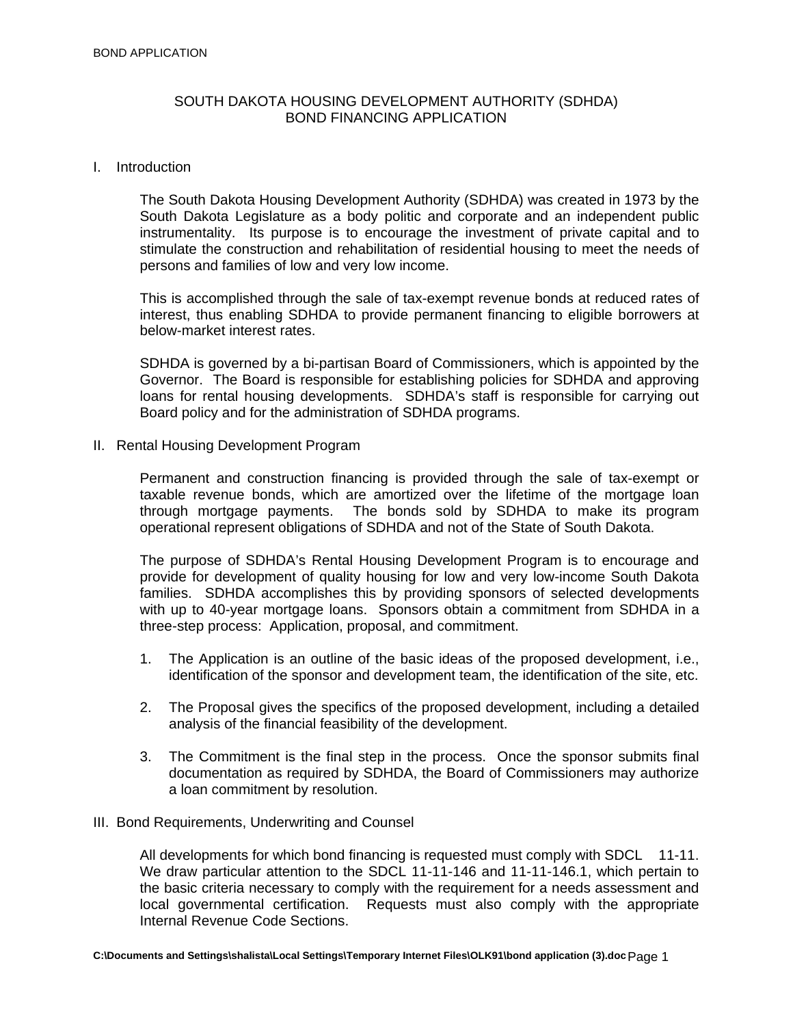## SOUTH DAKOTA HOUSING DEVELOPMENT AUTHORITY (SDHDA) BOND FINANCING APPLICATION

#### I. Introduction

The South Dakota Housing Development Authority (SDHDA) was created in 1973 by the South Dakota Legislature as a body politic and corporate and an independent public instrumentality. Its purpose is to encourage the investment of private capital and to stimulate the construction and rehabilitation of residential housing to meet the needs of persons and families of low and very low income.

This is accomplished through the sale of tax-exempt revenue bonds at reduced rates of interest, thus enabling SDHDA to provide permanent financing to eligible borrowers at below-market interest rates.

 Governor. The Board is responsible for establishing policies for SDHDA and approving SDHDA is governed by a bi-partisan Board of Commissioners, which is appointed by the loans for rental housing developments. SDHDA's staff is responsible for carrying out Board policy and for the administration of SDHDA programs.

II. Rental Housing Development Program

Permanent and construction financing is provided through the sale of tax-exempt or taxable revenue bonds, which are amortized over the lifetime of the mortgage loan through mortgage payments. The bonds sold by SDHDA to make its program operational represent obligations of SDHDA and not of the State of South Dakota.

The purpose of SDHDA's Rental Housing Development Program is to encourage and provide for development of quality housing for low and very low-income South Dakota families. SDHDA accomplishes this by providing sponsors of selected developments with up to 40-year mortgage loans. Sponsors obtain a commitment from SDHDA in a three-step process: Application, proposal, and commitment.

- 1. The Application is an outline of the basic ideas of the proposed development, i.e., identification of the sponsor and development team, the identification of the site, etc.
- 2. The Proposal gives the specifics of the proposed development, including a detailed analysis of the financial feasibility of the development.
- 3. The Commitment is the final step in the process. Once the sponsor submits final documentation as required by SDHDA, the Board of Commissioners may authorize a loan commitment by resolution.
- III. Bond Requirements, Underwriting and Counsel

 All developments for which bond financing is requested must comply with SDCL 11-11. Internal Revenue Code Sections. We draw particular attention to the SDCL 11-11-146 and 11-11-146.1, which pertain to the basic criteria necessary to comply with the requirement for a needs assessment and local governmental certification. Requests must also comply with the appropriate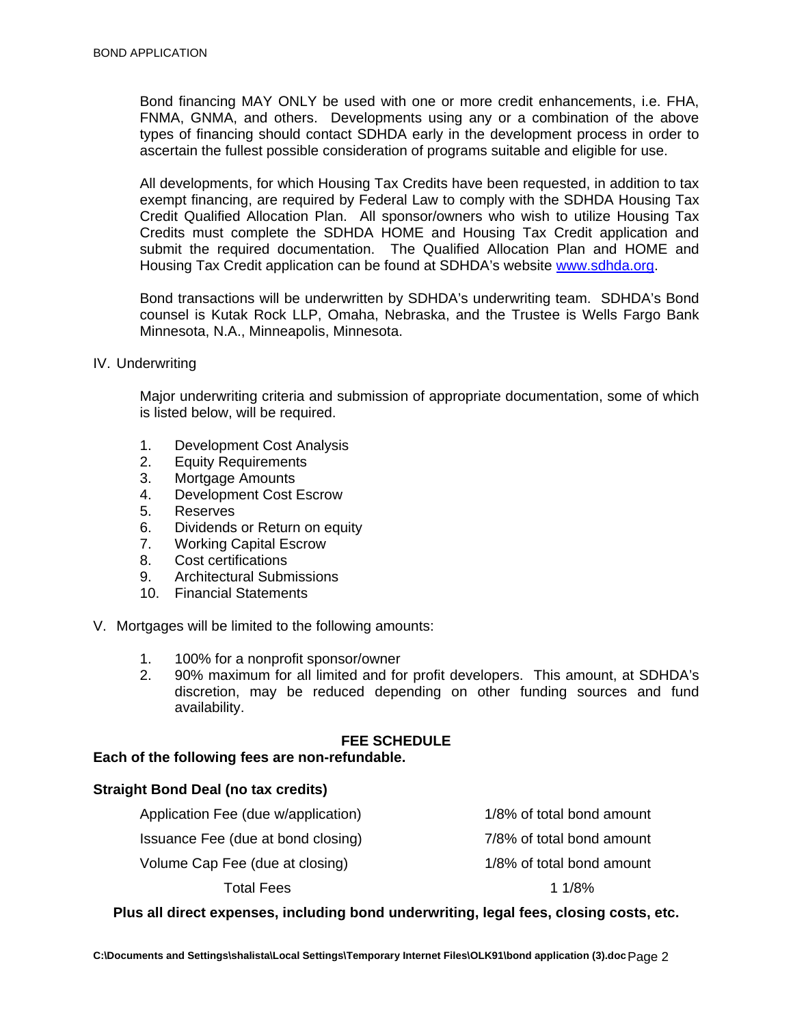Bond financing MAY ONLY be used with one or more credit enhancements, i.e. FHA, FNMA, GNMA, and others. Developments using any or a combination of the above types of financing should contact SDHDA early in the development process in order to ascertain the fullest possible consideration of programs suitable and eligible for use.

All developments, for which Housing Tax Credits have been requested, in addition to tax exempt financing, are required by Federal Law to comply with the SDHDA Housing Tax Credit Qualified Allocation Plan. All sponsor/owners who wish to utilize Housing Tax Credits must complete the SDHDA HOME and Housing Tax Credit application and submit the required documentation. The Qualified Allocation Plan and HOME and Housing Tax Credit application can be found at SDHDA's website www.sdhda.org.

Bond transactions will be underwritten by SDHDA's underwriting team. SDHDA's Bond counsel is Kutak Rock LLP, Omaha, Nebraska, and the Trustee is Wells Fargo Bank Minnesota, N.A., Minneapolis, Minnesota.

IV. Underwriting

Major underwriting criteria and submission of appropriate documentation, some of which is listed below, will be required.

- 1. Development Cost Analysis
- 2. Equity Requirements
- 3. Mortgage Amounts
- 4. Development Cost Escrow
- 5. Reserves
- 6. Dividends or Return on equity
- 7. Working Capital Escrow
- 8. Cost certifications
- 9. Architectural Submissions
- 10. Financial Statements

V. Mortgages will be limited to the following amounts:

- 1. 100% for a nonprofit sponsor/owner
- 2. 90% maximum for all limited and for profit developers. This amount, at SDHDA's discretion, may be reduced depending on other funding sources and fund availability.

## **FEE SCHEDULE**

#### **Each of the following fees are non-refundable.**

#### **Straight Bond Deal (no tax credits)**

 Application Fee (due w/application) 1/8% of total bond amount Issuance Fee (due at bond closing) 7/8% of total bond amount Volume Cap Fee (due at closing) and the matrix of total bond amount Total Fees 1 1/8%

## **Plus all direct expenses, including bond underwriting, legal fees, closing costs, etc.**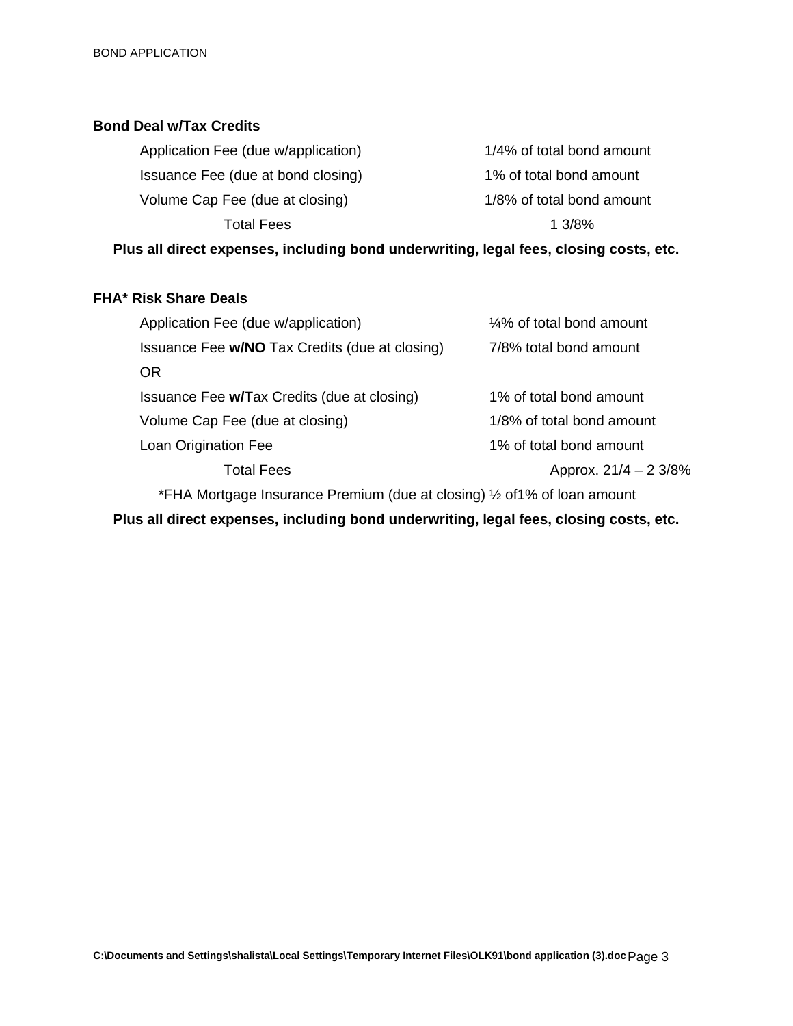## **Bond Deal w/Tax Credits**

| 1/4% of total bond amount |
|---------------------------|
| 1% of total bond amount   |
| 1/8% of total bond amount |
| 1.3/8%                    |
|                           |

**Plus all direct expenses, including bond underwriting, legal fees, closing costs, etc.** 

## **FHA\* Risk Share Deals**

| Application Fee (due w/application)                                       | 1/4% of total bond amount |  |
|---------------------------------------------------------------------------|---------------------------|--|
| Issuance Fee w/NO Tax Credits (due at closing)                            | 7/8% total bond amount    |  |
| <b>OR</b>                                                                 |                           |  |
| Issuance Fee w/Tax Credits (due at closing)                               | 1% of total bond amount   |  |
| Volume Cap Fee (due at closing)                                           | 1/8% of total bond amount |  |
| Loan Origination Fee                                                      | 1% of total bond amount   |  |
| Total Fees                                                                | Approx. $21/4 - 23/8\%$   |  |
| *FHA Mortgage Insurance Premium (due at closing) 1/2 of 1% of loan amount |                           |  |

**Plus all direct expenses, including bond underwriting, legal fees, closing costs, etc.**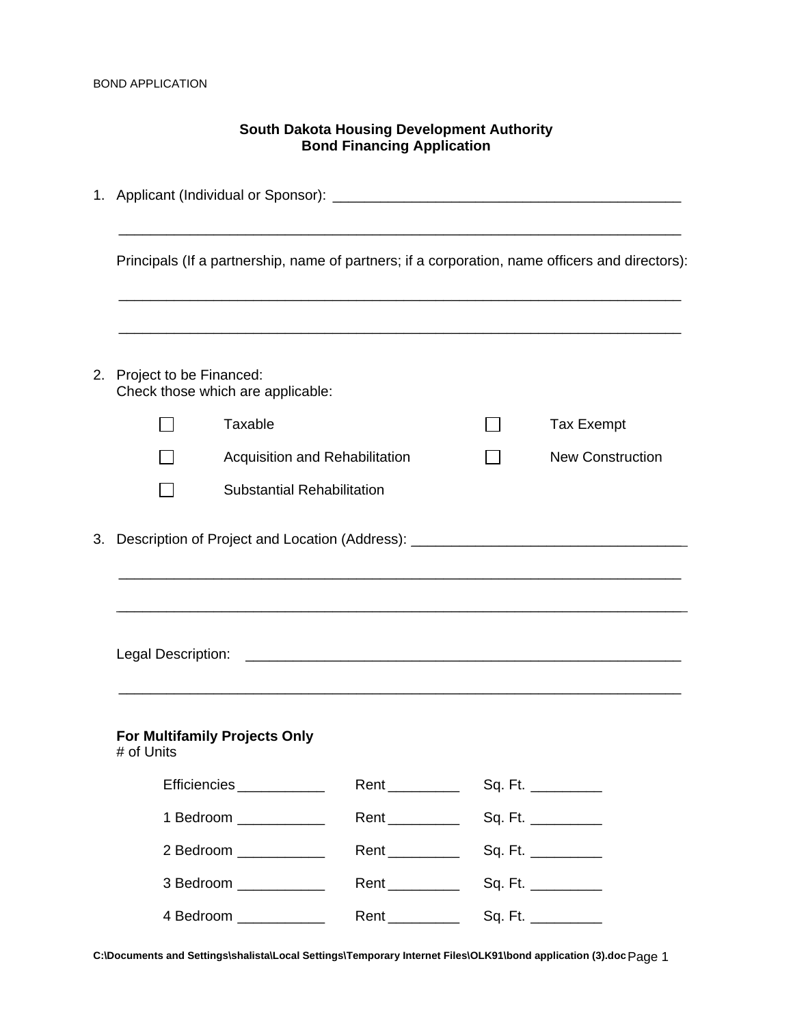| <b>South Dakota Housing Development Authority</b><br><b>Bond Financing Application</b> |                                                                                                                |                |  |                                                                                                                      |
|----------------------------------------------------------------------------------------|----------------------------------------------------------------------------------------------------------------|----------------|--|----------------------------------------------------------------------------------------------------------------------|
|                                                                                        |                                                                                                                |                |  |                                                                                                                      |
|                                                                                        |                                                                                                                |                |  | Principals (If a partnership, name of partners; if a corporation, name officers and directors):                      |
| 2. Project to be Financed:                                                             | Check those which are applicable:                                                                              |                |  |                                                                                                                      |
|                                                                                        | Taxable                                                                                                        |                |  | <b>Tax Exempt</b>                                                                                                    |
|                                                                                        | Acquisition and Rehabilitation                                                                                 |                |  | <b>New Construction</b>                                                                                              |
|                                                                                        | <b>Substantial Rehabilitation</b>                                                                              |                |  |                                                                                                                      |
|                                                                                        | 3. Description of Project and Location (Address): 2008. [19] Description of Project and Location (Address): 20 |                |  | <u> 1989 - Johann John Stone, markin sanat masjid ayyı bir alan bir alan bir alan bir alan bir alan bir alan bir</u> |
| Legal Description:                                                                     |                                                                                                                |                |  |                                                                                                                      |
| # of Units                                                                             | For Multifamily Projects Only                                                                                  |                |  |                                                                                                                      |
|                                                                                        | Efficiencies ____________                                                                                      |                |  |                                                                                                                      |
|                                                                                        | 1 Bedroom ____________                                                                                         |                |  |                                                                                                                      |
|                                                                                        | 2 Bedroom ___________                                                                                          |                |  |                                                                                                                      |
|                                                                                        | 3 Bedroom ____________                                                                                         |                |  |                                                                                                                      |
|                                                                                        | 4 Bedroom ___________                                                                                          | Rent _________ |  | Sq. Ft. __________                                                                                                   |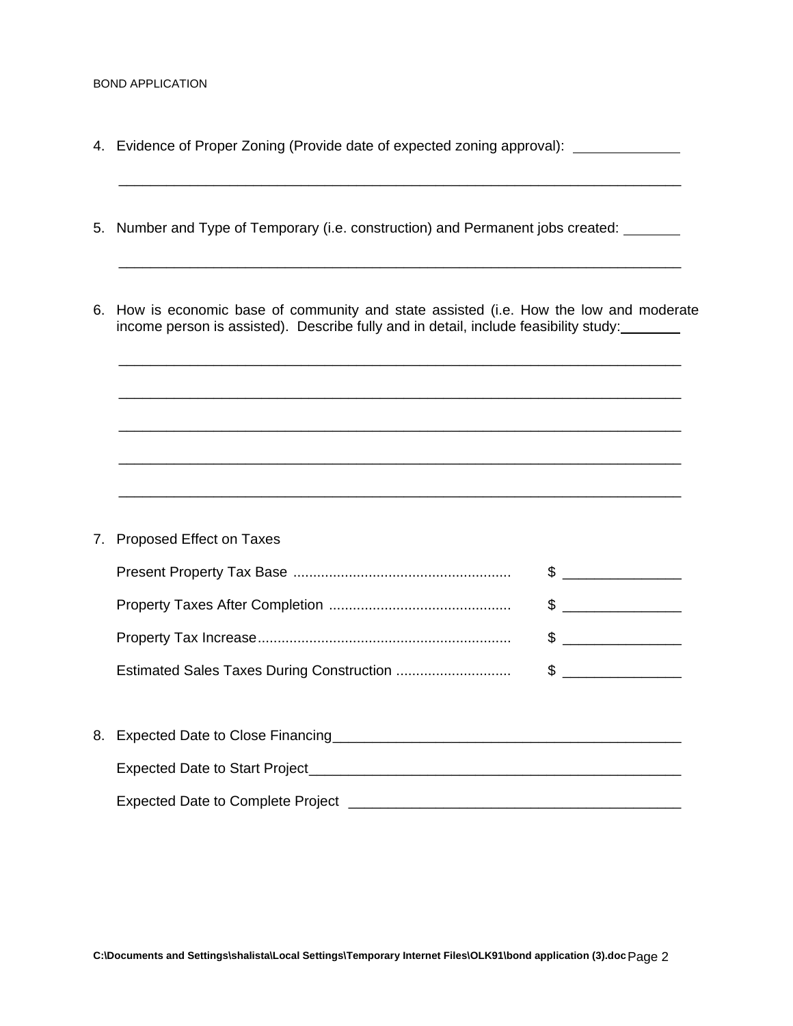- 4. Evidence of Proper Zoning (Provide date of expected zoning approval):
- 5. Number and Type of Temporary (i.e. construction) and Permanent jobs created:
- 6. How is economic base of community and state assisted (i.e. How the low and moderate income person is assisted). Describe fully and in detail, include feasibility study:

\_\_\_\_\_\_\_\_\_\_\_\_\_\_\_\_\_\_\_\_\_\_\_\_\_\_\_\_\_\_\_\_\_\_\_\_\_\_\_\_\_\_\_\_\_\_\_\_\_\_\_\_\_\_\_\_\_\_\_\_\_\_\_\_\_\_\_\_\_\_\_

\_\_\_\_\_\_\_\_\_\_\_\_\_\_\_\_\_\_\_\_\_\_\_\_\_\_\_\_\_\_\_\_\_\_\_\_\_\_\_\_\_\_\_\_\_\_\_\_\_\_\_\_\_\_\_\_\_\_\_\_\_\_\_\_\_\_\_\_\_\_\_

\_\_\_\_\_\_\_\_\_\_\_\_\_\_\_\_\_\_\_\_\_\_\_\_\_\_\_\_\_\_\_\_\_\_\_\_\_\_\_\_\_\_\_\_\_\_\_\_\_\_\_\_\_\_\_\_\_\_\_\_\_\_\_\_\_\_\_\_\_\_\_

\_\_\_\_\_\_\_\_\_\_\_\_\_\_\_\_\_\_\_\_\_\_\_\_\_\_\_\_\_\_\_\_\_\_\_\_\_\_\_\_\_\_\_\_\_\_\_\_\_\_\_\_\_\_\_\_\_\_\_\_\_\_\_\_\_\_\_\_\_\_\_

\_\_\_\_\_\_\_\_\_\_\_\_\_\_\_\_\_\_\_\_\_\_\_\_\_\_\_\_\_\_\_\_\_\_\_\_\_\_\_\_\_\_\_\_\_\_\_\_\_\_\_\_\_\_\_\_\_\_\_\_\_\_\_\_\_\_\_\_\_\_\_

\_\_\_\_\_\_\_\_\_\_\_\_\_\_\_\_\_\_\_\_\_\_\_\_\_\_\_\_\_\_\_\_\_\_\_\_\_\_\_\_\_\_\_\_\_\_\_\_\_\_\_\_\_\_\_\_\_\_\_\_\_\_\_\_\_\_\_\_\_\_\_

\_\_\_\_\_\_\_\_\_\_\_\_\_\_\_\_\_\_\_\_\_\_\_\_\_\_\_\_\_\_\_\_\_\_\_\_\_\_\_\_\_\_\_\_\_\_\_\_\_\_\_\_\_\_\_\_\_\_\_\_\_\_\_\_\_\_\_\_\_\_\_

- 7. Proposed Effect on Taxes Present Property Tax Base ....................................................... \$ \_\_\_\_\_\_\_\_\_\_\_\_\_\_\_ Property Taxes After Completion .............................................. \$ \_\_\_\_\_\_\_\_\_\_\_\_\_\_\_ Property Tax Increase................................................................ \$ \_\_\_\_\_\_\_\_\_\_\_\_\_\_\_ Estimated Sales Taxes During Construction ............................. \$ \_\_\_\_\_\_\_\_\_\_\_\_\_\_\_
- 8. Expected Date to Close Financing\_\_\_\_\_\_\_\_\_\_\_\_\_\_\_\_\_\_\_\_\_\_\_\_\_\_\_\_\_\_\_\_\_\_\_\_\_\_\_\_\_\_\_\_ Expected Date to Start Project \_\_\_\_\_\_\_\_\_\_\_\_\_\_\_\_\_\_\_\_\_\_\_\_\_\_\_\_\_\_\_\_\_\_\_\_\_\_\_\_\_\_\_\_\_\_\_ Expected Date to Complete Project \_\_\_\_\_\_\_\_\_\_\_\_\_\_\_\_\_\_\_\_\_\_\_\_\_\_\_\_\_\_\_\_\_\_\_\_\_\_\_\_\_\_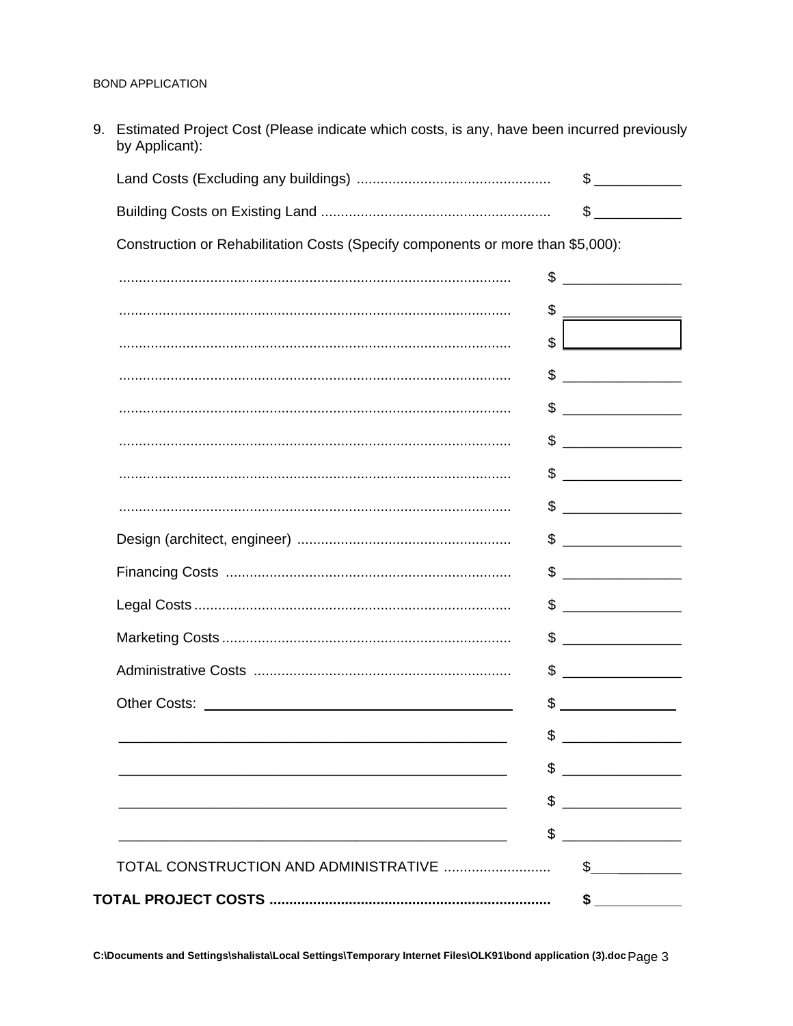|                                                                                 | $\begin{picture}(20,20) \put(0,0){\line(1,0){10}} \put(15,0){\line(1,0){10}} \put(15,0){\line(1,0){10}} \put(15,0){\line(1,0){10}} \put(15,0){\line(1,0){10}} \put(15,0){\line(1,0){10}} \put(15,0){\line(1,0){10}} \put(15,0){\line(1,0){10}} \put(15,0){\line(1,0){10}} \put(15,0){\line(1,0){10}} \put(15,0){\line(1,0){10}} \put(15,0){\line(1$                                                                                                         |
|---------------------------------------------------------------------------------|-------------------------------------------------------------------------------------------------------------------------------------------------------------------------------------------------------------------------------------------------------------------------------------------------------------------------------------------------------------------------------------------------------------------------------------------------------------|
|                                                                                 | $\begin{picture}(20,20) \put(0,0){\line(1,0){10}} \put(15,0){\line(1,0){10}} \put(15,0){\line(1,0){10}} \put(15,0){\line(1,0){10}} \put(15,0){\line(1,0){10}} \put(15,0){\line(1,0){10}} \put(15,0){\line(1,0){10}} \put(15,0){\line(1,0){10}} \put(15,0){\line(1,0){10}} \put(15,0){\line(1,0){10}} \put(15,0){\line(1,0){10}} \put(15,0){\line(1$                                                                                                         |
| Construction or Rehabilitation Costs (Specify components or more than \$5,000): |                                                                                                                                                                                                                                                                                                                                                                                                                                                             |
|                                                                                 | \$                                                                                                                                                                                                                                                                                                                                                                                                                                                          |
|                                                                                 | \$<br>$\begin{tabular}{ccccc} \multicolumn{2}{c }{\textbf{1} & \multicolumn{2}{c }{\textbf{2} & \multicolumn{2}{c }{\textbf{3} & \multicolumn{2}{c }{\textbf{4} & \multicolumn{2}{c }{\textbf{5} & \multicolumn{2}{c }{\textbf{6} & \multicolumn{2}{c }{\textbf{6} & \multicolumn{2}{c }{\textbf{6} & \multicolumn{2}{c }{\textbf{6} & \multicolumn{2}{c }{\textbf{6} & \multicolumn{2}{c }{\textbf{6} & \multicolumn{2}{c }{\textbf{6} & \multicolumn{2}{$ |
|                                                                                 | $\mathbb{S}^-$                                                                                                                                                                                                                                                                                                                                                                                                                                              |
|                                                                                 |                                                                                                                                                                                                                                                                                                                                                                                                                                                             |
|                                                                                 |                                                                                                                                                                                                                                                                                                                                                                                                                                                             |
|                                                                                 | $\begin{picture}(20,20) \put(0,0){\line(1,0){10}} \put(15,0){\line(1,0){10}} \put(15,0){\line(1,0){10}} \put(15,0){\line(1,0){10}} \put(15,0){\line(1,0){10}} \put(15,0){\line(1,0){10}} \put(15,0){\line(1,0){10}} \put(15,0){\line(1,0){10}} \put(15,0){\line(1,0){10}} \put(15,0){\line(1,0){10}} \put(15,0){\line(1,0){10}} \put(15,0){\line(1$                                                                                                         |
|                                                                                 | $\begin{picture}(20,10) \put(0,0){\line(1,0){10}} \put(15,0){\line(1,0){10}} \put(15,0){\line(1,0){10}} \put(15,0){\line(1,0){10}} \put(15,0){\line(1,0){10}} \put(15,0){\line(1,0){10}} \put(15,0){\line(1,0){10}} \put(15,0){\line(1,0){10}} \put(15,0){\line(1,0){10}} \put(15,0){\line(1,0){10}} \put(15,0){\line(1,0){10}} \put(15,0){\line(1$                                                                                                         |
|                                                                                 |                                                                                                                                                                                                                                                                                                                                                                                                                                                             |
|                                                                                 |                                                                                                                                                                                                                                                                                                                                                                                                                                                             |
|                                                                                 |                                                                                                                                                                                                                                                                                                                                                                                                                                                             |
|                                                                                 | $\qquad \qquad \$$                                                                                                                                                                                                                                                                                                                                                                                                                                          |
|                                                                                 | $\qquad \qquad \bullet$                                                                                                                                                                                                                                                                                                                                                                                                                                     |
|                                                                                 |                                                                                                                                                                                                                                                                                                                                                                                                                                                             |
|                                                                                 | \$<br><u>and the community of the community of the community of the community of the community of the community of the community of the community of the community of the community of the community of the community of the community</u>                                                                                                                                                                                                                  |
|                                                                                 | \$                                                                                                                                                                                                                                                                                                                                                                                                                                                          |
|                                                                                 | \$                                                                                                                                                                                                                                                                                                                                                                                                                                                          |
|                                                                                 | \$                                                                                                                                                                                                                                                                                                                                                                                                                                                          |
|                                                                                 | \$                                                                                                                                                                                                                                                                                                                                                                                                                                                          |

9. Estimated Project Cost (Please indicate which costs, is any, have been incurred previously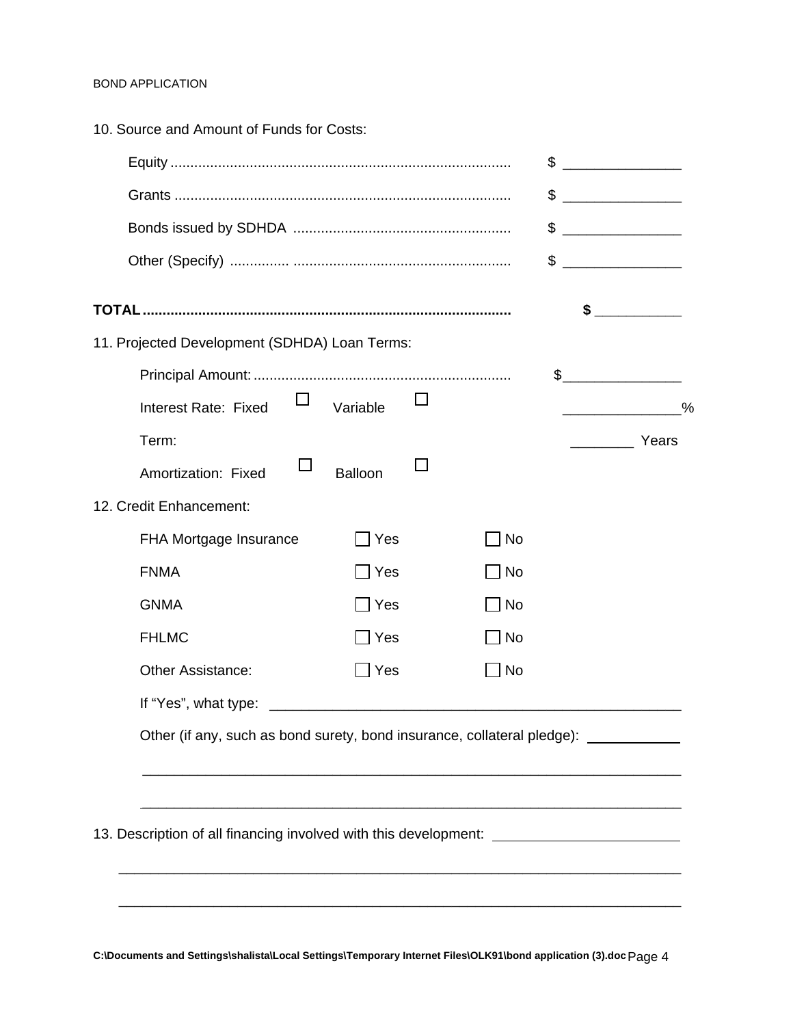| 10. Source and Amount of Funds for Costs:                                            |          |  |    |                                   |
|--------------------------------------------------------------------------------------|----------|--|----|-----------------------------------|
|                                                                                      |          |  | \$ |                                   |
|                                                                                      |          |  |    | \$                                |
|                                                                                      |          |  |    | \$                                |
|                                                                                      |          |  |    | \$                                |
|                                                                                      |          |  |    | $\sim$                            |
| 11. Projected Development (SDHDA) Loan Terms:                                        |          |  |    |                                   |
|                                                                                      |          |  |    | $\frac{1}{2}$                     |
| Interest Rate: Fixed                                                                 | Variable |  |    | $\%$                              |
| Term:                                                                                |          |  |    | Years<br><b>Contract Contract</b> |
| Amortization: Fixed                                                                  | Balloon  |  |    |                                   |
| 12. Credit Enhancement:                                                              |          |  |    |                                   |
| FHA Mortgage Insurance                                                               | Yes      |  | No |                                   |
| <b>FNMA</b>                                                                          | Yes      |  | No |                                   |
| <b>GNMA</b>                                                                          | Yes      |  | No |                                   |
| <b>FHLMC</b>                                                                         | Yes      |  | No |                                   |
| <b>Other Assistance:</b>                                                             | Yes      |  | No |                                   |
| If "Yes", what type:                                                                 |          |  |    |                                   |
| Other (if any, such as bond surety, bond insurance, collateral pledge): ____________ |          |  |    |                                   |
|                                                                                      |          |  |    |                                   |
|                                                                                      |          |  |    |                                   |
| 13. Description of all financing involved with this development: ________________    |          |  |    |                                   |
|                                                                                      |          |  |    |                                   |
|                                                                                      |          |  |    |                                   |

**C:\Documents and Settings\shalista\Local Settings\Temporary Internet Files\OLK91\bond application (3).doc** Page 4